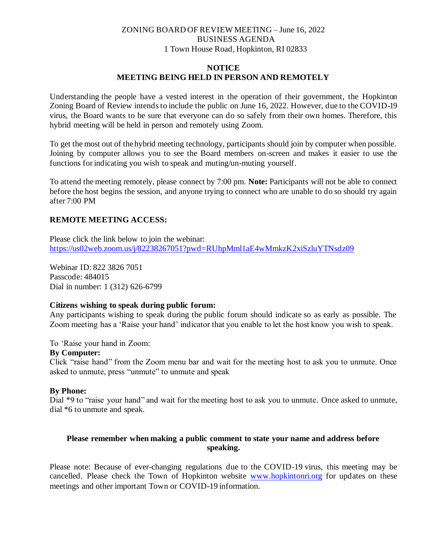# ZONING BOARD OF REVIEW MEETING – June 16, 2022 BUSINESS AGENDA 1 Town House Road, Hopkinton, RI 02833

## **NOTICE MEETING BEING HELD IN PERSON AND REMOTELY**

Understanding the people have a vested interest in the operation of their government, the Hopkinton Zoning Board of Review intends to include the public on June 16, 2022. However, due to the COVID-19 virus, the Board wants to be sure that everyone can do so safely from their own homes. Therefore, this hybrid meeting will be held in person and remotely using Zoom.

To get the most out of the hybrid meeting technology, participants should join by computer when possible. Joining by computer allows you to see the Board members on-screen and makes it easier to use the functions for indicating you wish to speak and muting/un-muting yourself.

To attend the meeting remotely, please connect by 7:00 pm. **Note:** Participants will not be able to connect before the host begins the session, and anyone trying to connect who are unable to do so should try again after 7:00 PM

# **REMOTE MEETING ACCESS:**

Please click the link below to join the webinar: https://us02web.zoom.us/j/82238267051?pwd=RUhpMml1aE4wMmkzK2xiSzluYTNsdz09

Webinar ID: 822 3826 7051 Passcode: 484015 Dial in number: 1 (312) 626-6799

### **Citizens wishing to speak during public forum:**

Any participants wishing to speak during the public forum should indicate so as early as possible. The Zoom meeting has a 'Raise your hand' indicator that you enable to let the host know you wish to speak.

To 'Raise your hand in Zoom:

#### **By Computer:**

Click "raise hand" from the Zoom menu bar and wait for the meeting host to ask you to unmute. Once asked to unmute, press "unmute" to unmute and speak

### **By Phone:**

Dial \*9 to "raise your hand" and wait for the meeting host to ask you to unmute. Once asked to unmute, dial \*6 to unmute and speak.

# **Please remember when making a public comment to state your name and address before speaking.**

Please note: Because of ever-changing regulations due to the COVID-19 virus, this meeting may be cancelled. Please check the Town of Hopkinton website www.hopkintonri.org for updates on these meetings and other important Town or COVID-19 information.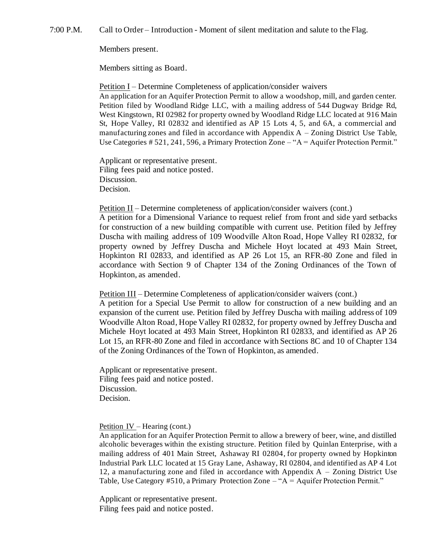7:00 P.M. Call to Order – Introduction - Moment of silent meditation and salute to the Flag.

Members present.

Members sitting as Board.

Petition I – Determine Completeness of application/consider waivers An application for an Aquifer Protection Permit to allow a woodshop, mill, and garden center. Petition filed by Woodland Ridge LLC, with a mailing address of 544 Dugway Bridge Rd, West Kingstown, RI 02982 for property owned by Woodland Ridge LLC located at 916 Main St, Hope Valley, RI 02832 and identified as AP 15 Lots 4, 5, and 6A, a commercial and manufacturing zones and filed in accordance with Appendix  $A - Z$ oning District Use Table, Use Categories # 521, 241, 596, a Primary Protection Zone – "A = Aquifer Protection Permit."

Applicant or representative present. Filing fees paid and notice posted. Discussion. Decision.

Petition II – Determine completeness of application/consider waivers (cont.)

A petition for a Dimensional Variance to request relief from front and side yard setbacks for construction of a new building compatible with current use. Petition filed by Jeffrey Duscha with mailing address of 109 Woodville Alton Road, Hope Valley RI 02832, for property owned by Jeffrey Duscha and Michele Hoyt located at 493 Main Street, Hopkinton RI 02833, and identified as AP 26 Lot 15, an RFR-80 Zone and filed in accordance with Section 9 of Chapter 134 of the Zoning Ordinances of the Town of Hopkinton, as amended.

Petition III – Determine Completeness of application/consider waivers (cont.)

A petition for a Special Use Permit to allow for construction of a new building and an expansion of the current use. Petition filed by Jeffrey Duscha with mailing address of 109 Woodville Alton Road, Hope Valley RI 02832, for property owned by Jeffrey Duscha and Michele Hoyt located at 493 Main Street, Hopkinton RI 02833, and identified as AP 26 Lot 15, an RFR-80 Zone and filed in accordance with Sections 8C and 10 of Chapter 134 of the Zoning Ordinances of the Town of Hopkinton, as amended.

Applicant or representative present. Filing fees paid and notice posted. Discussion. Decision.

#### Petition IV – Hearing (cont.)

An application for an Aquifer Protection Permit to allow a brewery of beer, wine, and distilled alcoholic beverages within the existing structure. Petition filed by Quinlan Enterprise, with a mailing address of 401 Main Street, Ashaway RI 02804, for property owned by Hopkinton Industrial Park LLC located at 15 Gray Lane, Ashaway, RI 02804, and identified as AP 4 Lot 12, a manufacturing zone and filed in accordance with Appendix A – Zoning District Use Table, Use Category #510, a Primary Protection Zone – "A = Aquifer Protection Permit."

Applicant or representative present. Filing fees paid and notice posted.